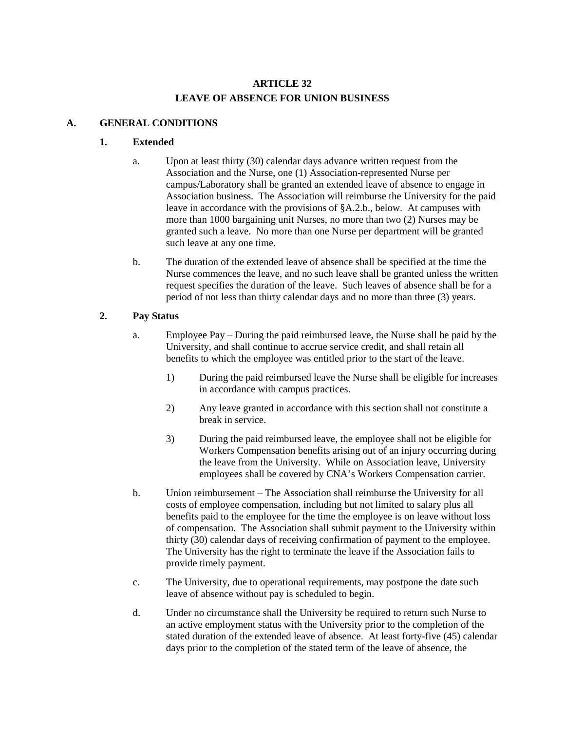# **ARTICLE 32 LEAVE OF ABSENCE FOR UNION BUSINESS**

# **A. GENERAL CONDITIONS**

### **1. Extended**

- a. Upon at least thirty (30) calendar days advance written request from the Association and the Nurse, one (1) Association-represented Nurse per campus/Laboratory shall be granted an extended leave of absence to engage in Association business. The Association will reimburse the University for the paid leave in accordance with the provisions of §A.2.b., below. At campuses with more than 1000 bargaining unit Nurses, no more than two (2) Nurses may be granted such a leave. No more than one Nurse per department will be granted such leave at any one time.
- b. The duration of the extended leave of absence shall be specified at the time the Nurse commences the leave, and no such leave shall be granted unless the written request specifies the duration of the leave. Such leaves of absence shall be for a period of not less than thirty calendar days and no more than three (3) years.

# **2. Pay Status**

- a. Employee Pay During the paid reimbursed leave, the Nurse shall be paid by the University, and shall continue to accrue service credit, and shall retain all benefits to which the employee was entitled prior to the start of the leave.
	- 1) During the paid reimbursed leave the Nurse shall be eligible for increases in accordance with campus practices.
	- 2) Any leave granted in accordance with this section shall not constitute a break in service.
	- 3) During the paid reimbursed leave, the employee shall not be eligible for Workers Compensation benefits arising out of an injury occurring during the leave from the University. While on Association leave, University employees shall be covered by CNA's Workers Compensation carrier.
- b. Union reimbursement The Association shall reimburse the University for all costs of employee compensation, including but not limited to salary plus all benefits paid to the employee for the time the employee is on leave without loss of compensation. The Association shall submit payment to the University within thirty (30) calendar days of receiving confirmation of payment to the employee. The University has the right to terminate the leave if the Association fails to provide timely payment.
- c. The University, due to operational requirements, may postpone the date such leave of absence without pay is scheduled to begin.
- d. Under no circumstance shall the University be required to return such Nurse to an active employment status with the University prior to the completion of the stated duration of the extended leave of absence. At least forty-five (45) calendar days prior to the completion of the stated term of the leave of absence, the